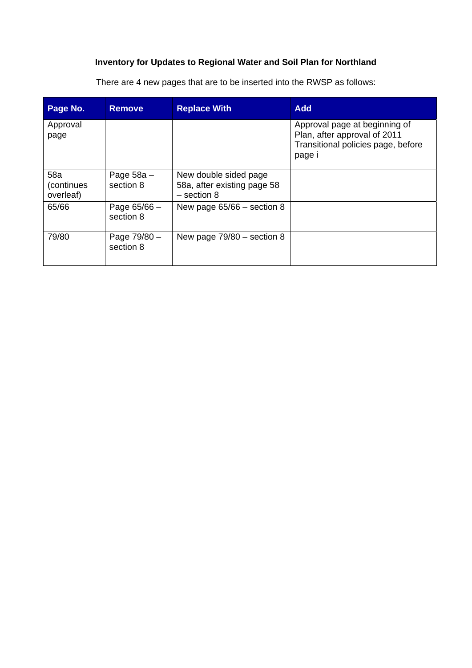# **Inventory for Updates to Regional Water and Soil Plan for Northland**

There are 4 new pages that are to be inserted into the RWSP as follows:

| Page No.                        | <b>Remove</b>               | <b>Replace With</b>                                                   | <b>Add</b>                                                                                                    |
|---------------------------------|-----------------------------|-----------------------------------------------------------------------|---------------------------------------------------------------------------------------------------------------|
| Approval<br>page                |                             |                                                                       | Approval page at beginning of<br>Plan, after approval of 2011<br>Transitional policies page, before<br>page i |
| 58a<br>(continues)<br>overleaf) | Page $58a -$<br>section 8   | New double sided page<br>58a, after existing page 58<br>$-$ section 8 |                                                                                                               |
| 65/66                           | Page $65/66 -$<br>section 8 | New page $65/66$ – section 8                                          |                                                                                                               |
| 79/80                           | Page 79/80 -<br>section 8   | New page $79/80$ – section 8                                          |                                                                                                               |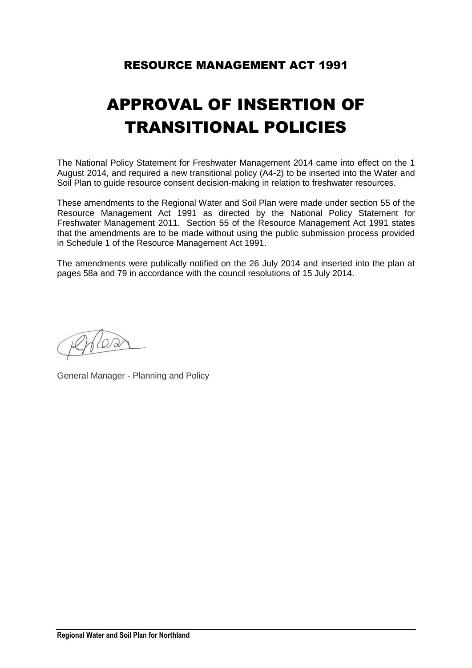# RESOURCE MANAGEMENT ACT 1991

# APPROVAL OF INSERTION OF TRANSITIONAL POLICIES

The National Policy Statement for Freshwater Management 2014 came into effect on the 1 August 2014, and required a new transitional policy (A4-2) to be inserted into the Water and Soil Plan to guide resource consent decision-making in relation to freshwater resources.

These amendments to the Regional Water and Soil Plan were made under section 55 of the Resource Management Act 1991 as directed by the National Policy Statement for Freshwater Management 2011. Section 55 of the Resource Management Act 1991 states that the amendments are to be made without using the public submission process provided in Schedule 1 of the Resource Management Act 1991.

The amendments were publically notified on the 26 July 2014 and inserted into the plan at pages 58a and 79 in accordance with the council resolutions of 15 July 2014.

 $\sqrt{\varphi}$ 

General Manager - Planning and Policy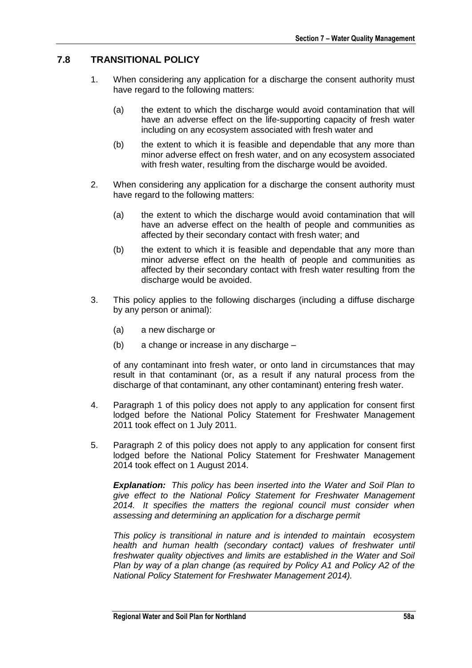## **7.8 TRANSITIONAL POLICY**

- 1. When considering any application for a discharge the consent authority must have regard to the following matters:
	- (a) the extent to which the discharge would avoid contamination that will have an adverse effect on the life-supporting capacity of fresh water including on any ecosystem associated with fresh water and
	- (b) the extent to which it is feasible and dependable that any more than minor adverse effect on fresh water, and on any ecosystem associated with fresh water, resulting from the discharge would be avoided.
- 2. When considering any application for a discharge the consent authority must have regard to the following matters:
	- (a) the extent to which the discharge would avoid contamination that will have an adverse effect on the health of people and communities as affected by their secondary contact with fresh water; and
	- (b) the extent to which it is feasible and dependable that any more than minor adverse effect on the health of people and communities as affected by their secondary contact with fresh water resulting from the discharge would be avoided.
- 3. This policy applies to the following discharges (including a diffuse discharge by any person or animal):
	- (a) a new discharge or
	- (b) a change or increase in any discharge –

of any contaminant into fresh water, or onto land in circumstances that may result in that contaminant (or, as a result if any natural process from the discharge of that contaminant, any other contaminant) entering fresh water.

- 4. Paragraph 1 of this policy does not apply to any application for consent first lodged before the National Policy Statement for Freshwater Management 2011 took effect on 1 July 2011.
- 5. Paragraph 2 of this policy does not apply to any application for consent first lodged before the National Policy Statement for Freshwater Management 2014 took effect on 1 August 2014.

*Explanation: This policy has been inserted into the Water and Soil Plan to give effect to the National Policy Statement for Freshwater Management 2014. It specifies the matters the regional council must consider when assessing and determining an application for a discharge permit*

*This policy is transitional in nature and is intended to maintain ecosystem health and human health (secondary contact) values of freshwater until freshwater quality objectives and limits are established in the Water and Soil Plan by way of a plan change (as required by Policy A1 and Policy A2 of the National Policy Statement for Freshwater Management 2014).*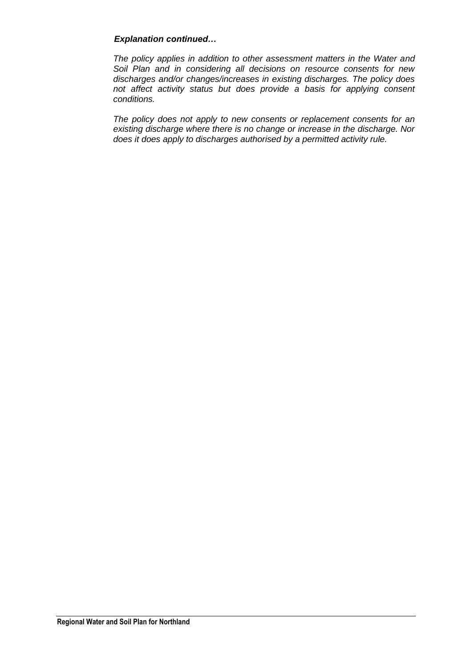### *Explanation continued…*

*The policy applies in addition to other assessment matters in the Water and Soil Plan and in considering all decisions on resource consents for new discharges and/or changes/increases in existing discharges. The policy does not affect activity status but does provide a basis for applying consent conditions.*

*The policy does not apply to new consents or replacement consents for an existing discharge where there is no change or increase in the discharge. Nor does it does apply to discharges authorised by a permitted activity rule.*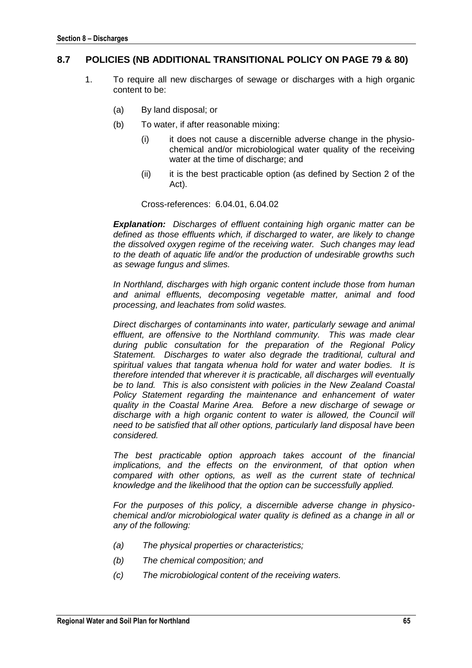### **8.7 POLICIES (NB ADDITIONAL TRANSITIONAL POLICY ON PAGE 79 & 80)**

- 1. To require all new discharges of sewage or discharges with a high organic content to be:
	- (a) By land disposal; or
	- (b) To water, if after reasonable mixing:
		- (i) it does not cause a discernible adverse change in the physiochemical and/or microbiological water quality of the receiving water at the time of discharge; and
		- (ii) it is the best practicable option (as defined by Section 2 of the Act).

Cross-references: 6.04.01, 6.04.02

*Explanation: Discharges of effluent containing high organic matter can be defined as those effluents which, if discharged to water, are likely to change the dissolved oxygen regime of the receiving water. Such changes may lead to the death of aquatic life and/or the production of undesirable growths such as sewage fungus and slimes.*

*In Northland, discharges with high organic content include those from human and animal effluents, decomposing vegetable matter, animal and food processing, and leachates from solid wastes.*

*Direct discharges of contaminants into water, particularly sewage and animal effluent, are offensive to the Northland community. This was made clear during public consultation for the preparation of the Regional Policy Statement. Discharges to water also degrade the traditional, cultural and spiritual values that tangata whenua hold for water and water bodies. It is therefore intended that wherever it is practicable, all discharges will eventually be to land. This is also consistent with policies in the New Zealand Coastal Policy Statement regarding the maintenance and enhancement of water quality in the Coastal Marine Area. Before a new discharge of sewage or discharge with a high organic content to water is allowed, the Council will need to be satisfied that all other options, particularly land disposal have been considered.*

*The best practicable option approach takes account of the financial implications, and the effects on the environment, of that option when compared with other options, as well as the current state of technical knowledge and the likelihood that the option can be successfully applied.*

*For the purposes of this policy, a discernible adverse change in physicochemical and/or microbiological water quality is defined as a change in all or any of the following:*

- *(a) The physical properties or characteristics;*
- *(b) The chemical composition; and*
- *(c) The microbiological content of the receiving waters.*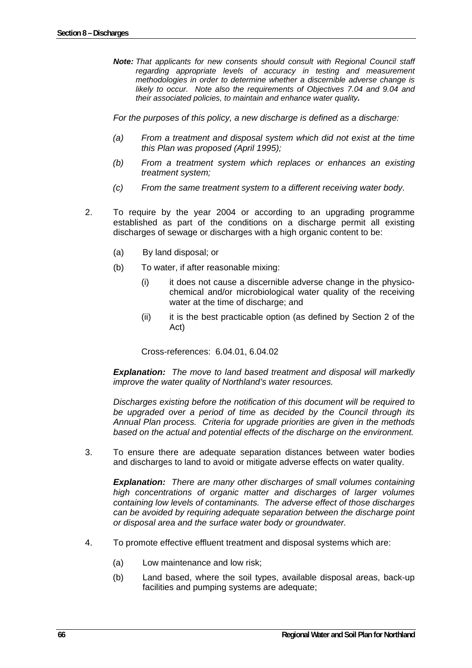*Note: That applicants for new consents should consult with Regional Council staff regarding appropriate levels of accuracy in testing and measurement methodologies in order to determine whether a discernible adverse change is likely to occur. Note also the requirements of Objectives 7.04 and 9.04 and their associated policies, to maintain and enhance water quality.*

*For the purposes of this policy, a new discharge is defined as a discharge:* 

- *(a) From a treatment and disposal system which did not exist at the time this Plan was proposed (April 1995);*
- *(b) From a treatment system which replaces or enhances an existing treatment system;*
- *(c) From the same treatment system to a different receiving water body.*
- 2. To require by the year 2004 or according to an upgrading programme established as part of the conditions on a discharge permit all existing discharges of sewage or discharges with a high organic content to be:
	- (a) By land disposal; or
	- (b) To water, if after reasonable mixing:
		- (i) it does not cause a discernible adverse change in the physicochemical and/or microbiological water quality of the receiving water at the time of discharge; and
		- (ii) it is the best practicable option (as defined by Section 2 of the Act)

Cross-references: 6.04.01, 6.04.02

*Explanation: The move to land based treatment and disposal will markedly improve the water quality of Northland's water resources.* 

*Discharges existing before the notification of this document will be required to be upgraded over a period of time as decided by the Council through its Annual Plan process. Criteria for upgrade priorities are given in the methods based on the actual and potential effects of the discharge on the environment.* 

3. To ensure there are adequate separation distances between water bodies and discharges to land to avoid or mitigate adverse effects on water quality.

*Explanation: There are many other discharges of small volumes containing high concentrations of organic matter and discharges of larger volumes containing low levels of contaminants. The adverse effect of those discharges can be avoided by requiring adequate separation between the discharge point or disposal area and the surface water body or groundwater.* 

- 4. To promote effective effluent treatment and disposal systems which are:
	- (a) Low maintenance and low risk;
	- (b) Land based, where the soil types, available disposal areas, back-up facilities and pumping systems are adequate;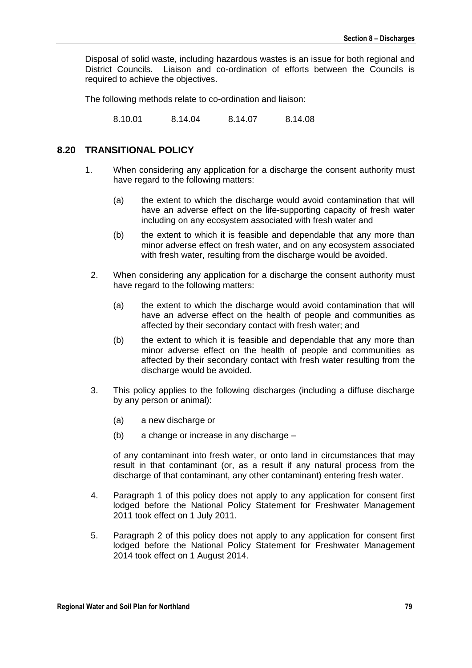Disposal of solid waste, including hazardous wastes is an issue for both regional and District Councils. Liaison and co-ordination of efforts between the Councils is required to achieve the objectives.

The following methods relate to co-ordination and liaison:

8.10.01 8.14.04 8.14.07 8.14.08

#### **8.20 TRANSITIONAL POLICY**

- 1. When considering any application for a discharge the consent authority must have regard to the following matters:
	- (a) the extent to which the discharge would avoid contamination that will have an adverse effect on the life-supporting capacity of fresh water including on any ecosystem associated with fresh water and
	- (b) the extent to which it is feasible and dependable that any more than minor adverse effect on fresh water, and on any ecosystem associated with fresh water, resulting from the discharge would be avoided.
	- 2. When considering any application for a discharge the consent authority must have regard to the following matters:
		- (a) the extent to which the discharge would avoid contamination that will have an adverse effect on the health of people and communities as affected by their secondary contact with fresh water; and
		- (b) the extent to which it is feasible and dependable that any more than minor adverse effect on the health of people and communities as affected by their secondary contact with fresh water resulting from the discharge would be avoided.
- 3. This policy applies to the following discharges (including a diffuse discharge by any person or animal):
	- (a) a new discharge or
	- (b) a change or increase in any discharge –

of any contaminant into fresh water, or onto land in circumstances that may result in that contaminant (or, as a result if any natural process from the discharge of that contaminant, any other contaminant) entering fresh water.

- 4. Paragraph 1 of this policy does not apply to any application for consent first lodged before the National Policy Statement for Freshwater Management 2011 took effect on 1 July 2011.
- 5. Paragraph 2 of this policy does not apply to any application for consent first lodged before the National Policy Statement for Freshwater Management 2014 took effect on 1 August 2014.